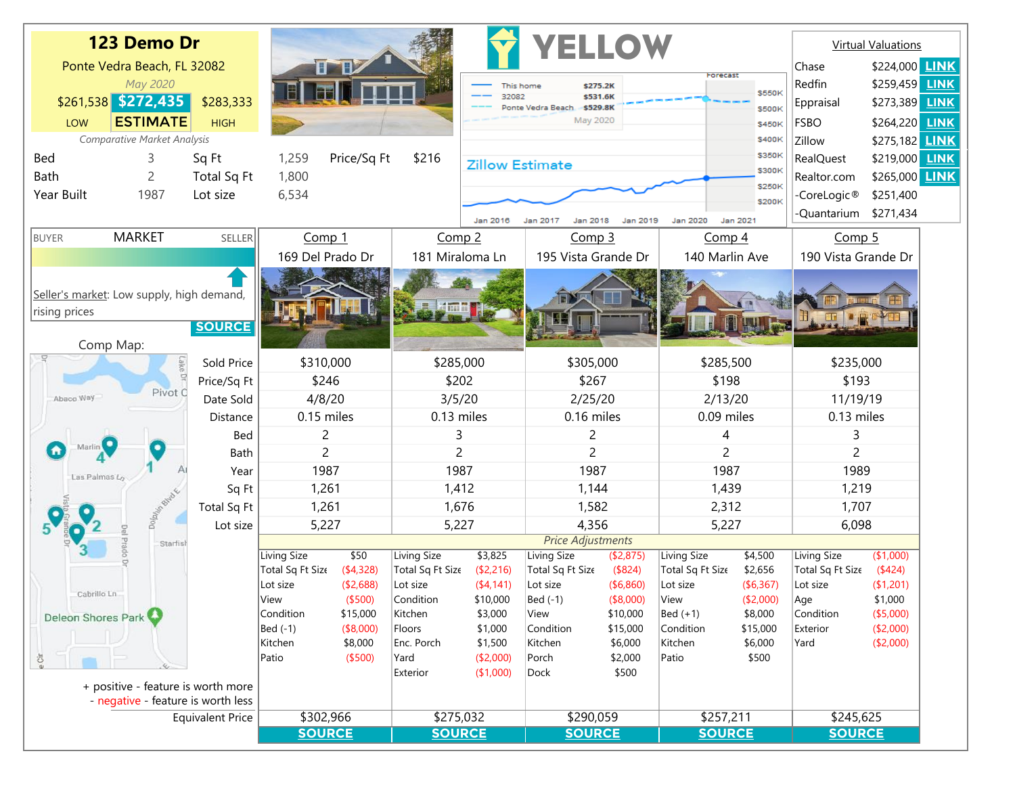|                                                                                          | 123 Demo Dr                 |             |                               |                       |                   | <b>YELLOW</b>                                                        |                                   |                      |                         |                         | <b>Virtual Valuations</b> |                        |
|------------------------------------------------------------------------------------------|-----------------------------|-------------|-------------------------------|-----------------------|-------------------|----------------------------------------------------------------------|-----------------------------------|----------------------|-------------------------|-------------------------|---------------------------|------------------------|
|                                                                                          | Ponte Vedra Beach, FL 32082 |             |                               | <b>UTHZ</b>           |                   |                                                                      |                                   |                      |                         |                         | Chase                     | \$224,000 LINK         |
| May 2020                                                                                 |                             |             |                               |                       |                   | \$275.2K<br>This home                                                |                                   |                      | Forecast                |                         | Redfin                    | \$259,459 <b>LINK</b>  |
| $$261,538$ $$272,435$<br>\$283,333                                                       |                             |             |                               |                       |                   | 32082<br>\$531.6K<br>Ponte Vedra Beach<br>\$529.8K                   |                                   |                      |                         | \$550K<br>\$500K        | Eppraisal                 | \$273,389 LINK         |
| <b>ESTIMATE</b><br>LOW<br><b>HIGH</b>                                                    |                             |             |                               |                       |                   | May 2020                                                             |                                   |                      |                         | \$450K                  | <b>FSBO</b>               | \$264,220 LINK         |
|                                                                                          | Comparative Market Analysis |             |                               |                       |                   | \$400K                                                               |                                   |                      |                         | Zillow                  | \$275,182 <b>LINK</b>     |                        |
| Sq Ft<br><b>Bed</b><br>3.                                                                |                             |             | Price/Sq Ft<br>\$216<br>1,259 |                       |                   | <b>Zillow Estimate</b>                                               |                                   |                      |                         | \$350K                  | <b>RealQuest</b>          | \$219,000 LINK         |
| Bath<br>Total Sq Ft<br>2                                                                 |                             |             | 1,800                         |                       |                   | \$300K                                                               |                                   |                      |                         |                         | Realtor.com               | \$265,000 LINK         |
| Year Built<br>1987<br>Lot size                                                           |                             | 6,534       |                               |                       | \$250K<br>\$200K  |                                                                      |                                   |                      |                         | -CoreLogic <sup>®</sup> | \$251,400                 |                        |
|                                                                                          |                             |             |                               |                       |                   | Jan 2016<br>Jan 2020<br>Jan 2021<br>Jan 2017<br>Jan 2018<br>Jan 2019 |                                   |                      |                         |                         | -Quantarium               | \$271,434              |
| <b>MARKET</b><br><b>BUYER</b>                                                            |                             | SELLER      | Comp 1                        |                       | Comp <sub>2</sub> |                                                                      | Comp <sub>3</sub>                 |                      | Comp 4                  |                         | Comp <sub>5</sub>         |                        |
|                                                                                          |                             |             | 169 Del Prado Dr              |                       | 181 Miraloma Ln   |                                                                      | 195 Vista Grande Dr               |                      | 140 Marlin Ave          |                         | 190 Vista Grande Dr       |                        |
| Seller's market: Low supply, high demand,<br>rising prices<br><b>SOURCE</b><br>Comp Map: |                             |             |                               |                       |                   |                                                                      |                                   |                      |                         |                         | $\mathbf{F}$              |                        |
| -9<br>Lake Dr                                                                            |                             | Sold Price  | \$310,000                     |                       | \$285,000         |                                                                      | \$305,000                         |                      | \$285,500               |                         | \$235,000                 |                        |
|                                                                                          |                             | Price/Sq Ft | \$246                         |                       | \$202             |                                                                      | \$267                             |                      | \$198                   |                         | \$193                     |                        |
| Abaco Way                                                                                | Pivot C                     | Date Sold   | 4/8/20                        |                       | 3/5/20            |                                                                      | 2/25/20                           |                      | 2/13/20                 |                         | 11/19/19                  |                        |
| Las Palmas Lo                                                                            |                             | Distance    | 0.15 miles                    |                       | 0.13 miles        |                                                                      | 0.16 miles                        |                      | 0.09 miles              |                         | 0.13 miles                |                        |
|                                                                                          |                             | Bed         | 2                             |                       | 3                 |                                                                      | 2                                 |                      | 4                       |                         | 3                         |                        |
|                                                                                          |                             | Bath        | 2                             |                       | 2                 |                                                                      | 2                                 |                      | 2                       |                         | $\overline{c}$            |                        |
|                                                                                          |                             | Year        | 1987                          |                       | 1987              |                                                                      | 1987                              |                      | 1987                    |                         | 1989                      |                        |
|                                                                                          |                             | Sq Ft       | 1,261                         |                       | 1,412             |                                                                      | 1,144                             |                      | 1,439                   |                         | 1,219                     |                        |
|                                                                                          | Dolbin Blvd. K              | Total Sq Ft | 1,261                         |                       | 1,676             |                                                                      | 1,582                             |                      | 2,312                   |                         | 1,707                     |                        |
|                                                                                          |                             | Lot size    | 5,227                         |                       | 5,227             |                                                                      | 4,356<br><b>Price Adjustments</b> |                      | 5,227                   |                         | 6,098                     |                        |
| Starfish<br>rado Dr                                                                      |                             |             | <b>Living Size</b>            | \$50                  | Living Size       | \$3,825                                                              | Living Size                       | (\$2,875)            | Living Size             | \$4,500                 | Living Size               | (\$1,000)              |
|                                                                                          |                             |             | Total Sq Ft Size              | (4,328)               | Total Sq Ft Size  | (\$2,216)                                                            | Total Sq Ft Size                  | (\$824)              | Total Sq Ft Size        | \$2,656                 | Total Sq Ft Size          | $(*424)$               |
| Cabrillo Ln                                                                              |                             |             | Lot size                      | ( \$2,688)            | Lot size          | (4,141)                                                              | Lot size                          | ( \$6,860)           | Lot size                | ( \$6,367)              | Lot size                  | ( \$1,201)             |
|                                                                                          |                             |             | View                          | (\$500)               | Condition         | \$10,000                                                             | Bed (-1)                          | (\$8,000)            | View                    | (\$2,000)               | Age                       | \$1,000                |
| Deleon Shores Park                                                                       |                             |             | Condition<br>Bed (-1)         | \$15,000<br>(\$8,000) | Kitchen<br>Floors | \$3,000<br>\$1,000                                                   | View<br>Condition                 | \$10,000<br>\$15,000 | $Bed (+1)$<br>Condition | \$8,000<br>\$15,000     | Condition<br>Exterior     | (\$5,000)<br>(\$2,000) |
|                                                                                          |                             |             | Kitchen                       | \$8,000               | Enc. Porch        | \$1,500                                                              | Kitchen                           | \$6,000              | Kitchen                 | \$6,000                 | Yard                      | (\$2,000)              |
| ëĞ                                                                                       |                             |             | Patio                         | (\$500)               | Yard              | (\$2,000)                                                            | Porch                             | \$2,000              | Patio                   | \$500                   |                           |                        |
| + positive - feature is worth more                                                       |                             |             |                               |                       | Exterior          | (\$1,000)                                                            | Dock                              | \$500                |                         |                         |                           |                        |
| - negative - feature is worth less                                                       |                             |             |                               |                       |                   |                                                                      |                                   |                      |                         |                         |                           |                        |
| <b>Equivalent Price</b>                                                                  |                             |             | \$302,966                     |                       | \$275,032         |                                                                      | \$290,059                         |                      | \$257,211               |                         | \$245,625                 |                        |
|                                                                                          |                             |             | <b>SOURCE</b>                 |                       | <b>SOURCE</b>     |                                                                      | <b>SOURCE</b>                     |                      | <b>SOURCE</b>           |                         | <b>SOURCE</b>             |                        |